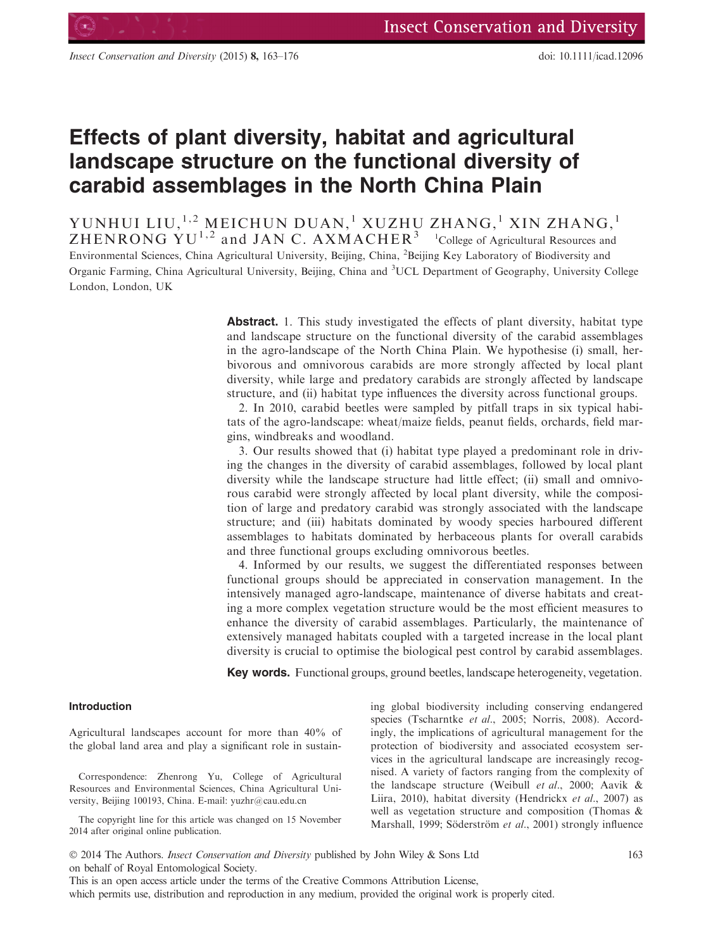# Effects of plant diversity, habitat and agricultural landscape structure on the functional diversity of carabid assemblages in the North China Plain

YUNHUI LIU,<sup>1,2</sup> MEICHUN DUAN,<sup>1</sup> XUZHU ZHANG,<sup>1</sup> XIN ZHANG,<sup>1</sup>  $ZHENRONG YU<sup>1,2</sup>$  and  $JAN C. AXMACHER<sup>3</sup>$  <sup>1</sup>College of Agricultural Resources and Environmental Sciences, China Agricultural University, Beijing, China, <sup>2</sup>Beijing Key Laboratory of Biodiversity and Organic Farming, China Agricultural University, Beijing, China and <sup>3</sup>UCL Department of Geography, University College London, London, UK

> Abstract. 1. This study investigated the effects of plant diversity, habitat type and landscape structure on the functional diversity of the carabid assemblages in the agro-landscape of the North China Plain. We hypothesise (i) small, herbivorous and omnivorous carabids are more strongly affected by local plant diversity, while large and predatory carabids are strongly affected by landscape structure, and (ii) habitat type influences the diversity across functional groups.

> 2. In 2010, carabid beetles were sampled by pitfall traps in six typical habitats of the agro-landscape: wheat/maize fields, peanut fields, orchards, field margins, windbreaks and woodland.

> 3. Our results showed that (i) habitat type played a predominant role in driving the changes in the diversity of carabid assemblages, followed by local plant diversity while the landscape structure had little effect; (ii) small and omnivorous carabid were strongly affected by local plant diversity, while the composition of large and predatory carabid was strongly associated with the landscape structure; and (iii) habitats dominated by woody species harboured different assemblages to habitats dominated by herbaceous plants for overall carabids and three functional groups excluding omnivorous beetles.

> 4. Informed by our results, we suggest the differentiated responses between functional groups should be appreciated in conservation management. In the intensively managed agro-landscape, maintenance of diverse habitats and creating a more complex vegetation structure would be the most efficient measures to enhance the diversity of carabid assemblages. Particularly, the maintenance of extensively managed habitats coupled with a targeted increase in the local plant diversity is crucial to optimise the biological pest control by carabid assemblages.

> Key words. Functional groups, ground beetles, landscape heterogeneity, vegetation.

# Introduction

Agricultural landscapes account for more than 40% of the global land area and play a significant role in sustain-

Correspondence: Zhenrong Yu, College of Agricultural Resources and Environmental Sciences, China Agricultural University, Beijing 100193, China. E-mail: yuzhr@cau.edu.cn

The copyright line for this article was changed on 15 November 2014 after original online publication.

ing global biodiversity including conserving endangered species (Tscharntke et al., 2005; Norris, 2008). Accordingly, the implications of agricultural management for the protection of biodiversity and associated ecosystem services in the agricultural landscape are increasingly recognised. A variety of factors ranging from the complexity of the landscape structure (Weibull et al., 2000; Aavik & Liira, 2010), habitat diversity (Hendrickx et al., 2007) as well as vegetation structure and composition (Thomas & Marshall, 1999; Söderström et al., 2001) strongly influence

 2014 The Authors. Insect Conservation and Diversity published by John Wiley & Sons Ltd on behalf of Royal Entomological Society.

This is an open access article under the terms of the Creative Commons Attribution License, which permits use, distribution and reproduction in any medium, provided the original work is properly cited.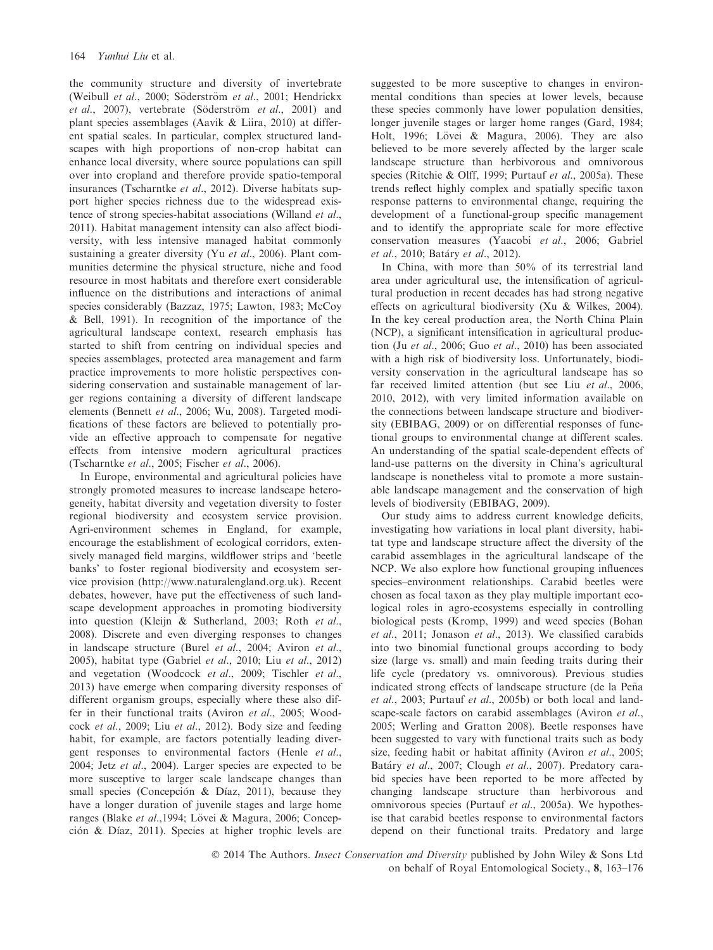the community structure and diversity of invertebrate (Weibull et al., 2000; Söderström et al., 2001; Hendrickx et al., 2007), vertebrate (Söderström et al., 2001) and plant species assemblages (Aavik & Liira, 2010) at different spatial scales. In particular, complex structured landscapes with high proportions of non-crop habitat can enhance local diversity, where source populations can spill over into cropland and therefore provide spatio-temporal insurances (Tscharntke et al., 2012). Diverse habitats support higher species richness due to the widespread existence of strong species-habitat associations (Willand et al., 2011). Habitat management intensity can also affect biodiversity, with less intensive managed habitat commonly sustaining a greater diversity (Yu et al., 2006). Plant communities determine the physical structure, niche and food resource in most habitats and therefore exert considerable influence on the distributions and interactions of animal species considerably (Bazzaz, 1975; Lawton, 1983; McCoy & Bell, 1991). In recognition of the importance of the agricultural landscape context, research emphasis has started to shift from centring on individual species and species assemblages, protected area management and farm practice improvements to more holistic perspectives considering conservation and sustainable management of larger regions containing a diversity of different landscape elements (Bennett et al., 2006; Wu, 2008). Targeted modifications of these factors are believed to potentially provide an effective approach to compensate for negative effects from intensive modern agricultural practices (Tscharntke et al., 2005; Fischer et al., 2006).

In Europe, environmental and agricultural policies have strongly promoted measures to increase landscape heterogeneity, habitat diversity and vegetation diversity to foster regional biodiversity and ecosystem service provision. Agri-environment schemes in England, for example, encourage the establishment of ecological corridors, extensively managed field margins, wildflower strips and 'beetle banks' to foster regional biodiversity and ecosystem service provision (http://www.naturalengland.org.uk). Recent debates, however, have put the effectiveness of such landscape development approaches in promoting biodiversity into question (Kleijn & Sutherland, 2003; Roth et al., 2008). Discrete and even diverging responses to changes in landscape structure (Burel et al., 2004; Aviron et al., 2005), habitat type (Gabriel et al., 2010; Liu et al., 2012) and vegetation (Woodcock et al., 2009; Tischler et al., 2013) have emerge when comparing diversity responses of different organism groups, especially where these also differ in their functional traits (Aviron et al., 2005; Woodcock et al., 2009; Liu et al., 2012). Body size and feeding habit, for example, are factors potentially leading divergent responses to environmental factors (Henle et al., 2004; Jetz et al., 2004). Larger species are expected to be more susceptive to larger scale landscape changes than small species (Concepción & Díaz, 2011), because they have a longer duration of juvenile stages and large home ranges (Blake et al., 1994; Lövei & Magura, 2006; Concepción & Díaz, 2011). Species at higher trophic levels are

suggested to be more susceptive to changes in environmental conditions than species at lower levels, because these species commonly have lower population densities, longer juvenile stages or larger home ranges (Gard, 1984; Holt, 1996; Lövei & Magura, 2006). They are also believed to be more severely affected by the larger scale landscape structure than herbivorous and omnivorous species (Ritchie & Olff, 1999; Purtauf et al., 2005a). These trends reflect highly complex and spatially specific taxon response patterns to environmental change, requiring the development of a functional-group specific management and to identify the appropriate scale for more effective conservation measures (Yaacobi et al., 2006; Gabriel et al., 2010; Batáry et al., 2012).

In China, with more than 50% of its terrestrial land area under agricultural use, the intensification of agricultural production in recent decades has had strong negative effects on agricultural biodiversity (Xu & Wilkes, 2004). In the key cereal production area, the North China Plain (NCP), a significant intensification in agricultural production (Ju et al., 2006; Guo et al., 2010) has been associated with a high risk of biodiversity loss. Unfortunately, biodiversity conservation in the agricultural landscape has so far received limited attention (but see Liu et al., 2006, 2010, 2012), with very limited information available on the connections between landscape structure and biodiversity (EBIBAG, 2009) or on differential responses of functional groups to environmental change at different scales. An understanding of the spatial scale-dependent effects of land-use patterns on the diversity in China's agricultural landscape is nonetheless vital to promote a more sustainable landscape management and the conservation of high levels of biodiversity (EBIBAG, 2009).

Our study aims to address current knowledge deficits, investigating how variations in local plant diversity, habitat type and landscape structure affect the diversity of the carabid assemblages in the agricultural landscape of the NCP. We also explore how functional grouping influences species–environment relationships. Carabid beetles were chosen as focal taxon as they play multiple important ecological roles in agro-ecosystems especially in controlling biological pests (Kromp, 1999) and weed species (Bohan et al., 2011; Jonason et al., 2013). We classified carabids into two binomial functional groups according to body size (large vs. small) and main feeding traits during their life cycle (predatory vs. omnivorous). Previous studies indicated strong effects of landscape structure (de la Peña et al., 2003; Purtauf et al., 2005b) or both local and landscape-scale factors on carabid assemblages (Aviron et al., 2005; Werling and Gratton 2008). Beetle responses have been suggested to vary with functional traits such as body size, feeding habit or habitat affinity (Aviron et al., 2005; Batáry et al., 2007; Clough et al., 2007). Predatory carabid species have been reported to be more affected by changing landscape structure than herbivorous and omnivorous species (Purtauf et al., 2005a). We hypothesise that carabid beetles response to environmental factors depend on their functional traits. Predatory and large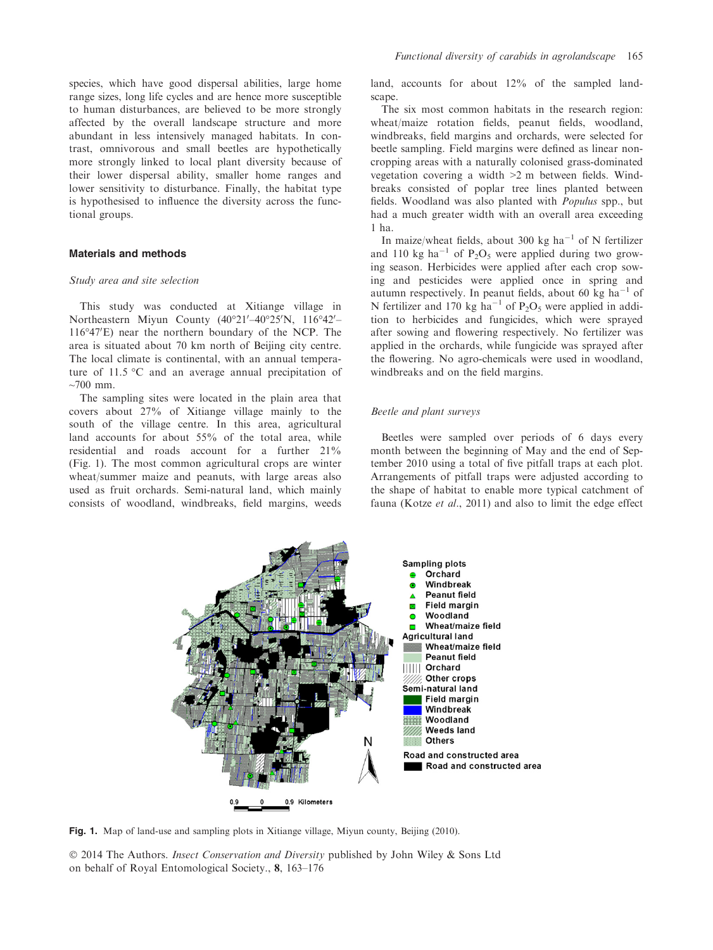species, which have good dispersal abilities, large home range sizes, long life cycles and are hence more susceptible to human disturbances, are believed to be more strongly affected by the overall landscape structure and more abundant in less intensively managed habitats. In contrast, omnivorous and small beetles are hypothetically more strongly linked to local plant diversity because of their lower dispersal ability, smaller home ranges and lower sensitivity to disturbance. Finally, the habitat type is hypothesised to influence the diversity across the functional groups.

#### Materials and methods

#### Study area and site selection

This study was conducted at Xitiange village in Northeastern Miyun County  $(40^{\circ}21' - 40^{\circ}25'N, 116^{\circ}42' 116°47'E$ ) near the northern boundary of the NCP. The area is situated about 70 km north of Beijing city centre. The local climate is continental, with an annual temperature of 11.5 °C and an average annual precipitation of  $~100$  mm.

The sampling sites were located in the plain area that covers about 27% of Xitiange village mainly to the south of the village centre. In this area, agricultural land accounts for about 55% of the total area, while residential and roads account for a further 21% (Fig. 1). The most common agricultural crops are winter wheat/summer maize and peanuts, with large areas also used as fruit orchards. Semi-natural land, which mainly consists of woodland, windbreaks, field margins, weeds

land, accounts for about 12% of the sampled landscape.

The six most common habitats in the research region: wheat/maize rotation fields, peanut fields, woodland, windbreaks, field margins and orchards, were selected for beetle sampling. Field margins were defined as linear noncropping areas with a naturally colonised grass-dominated vegetation covering a width >2 m between fields. Windbreaks consisted of poplar tree lines planted between fields. Woodland was also planted with Populus spp., but had a much greater width with an overall area exceeding 1 ha.

In maize/wheat fields, about 300 kg ha<sup>-1</sup> of N fertilizer and 110 kg ha<sup>-1</sup> of  $P_2O_5$  were applied during two growing season. Herbicides were applied after each crop sowing and pesticides were applied once in spring and autumn respectively. In peanut fields, about 60 kg ha<sup> $-1$ </sup> of N fertilizer and 170 kg  $ha^{-1}$  of  $P_2O_5$  were applied in addition to herbicides and fungicides, which were sprayed after sowing and flowering respectively. No fertilizer was applied in the orchards, while fungicide was sprayed after the flowering. No agro-chemicals were used in woodland, windbreaks and on the field margins.

## Beetle and plant surveys

Beetles were sampled over periods of 6 days every month between the beginning of May and the end of September 2010 using a total of five pitfall traps at each plot. Arrangements of pitfall traps were adjusted according to the shape of habitat to enable more typical catchment of fauna (Kotze et al., 2011) and also to limit the edge effect



Fig. 1. Map of land-use and sampling plots in Xitiange village, Miyun county, Beijing (2010).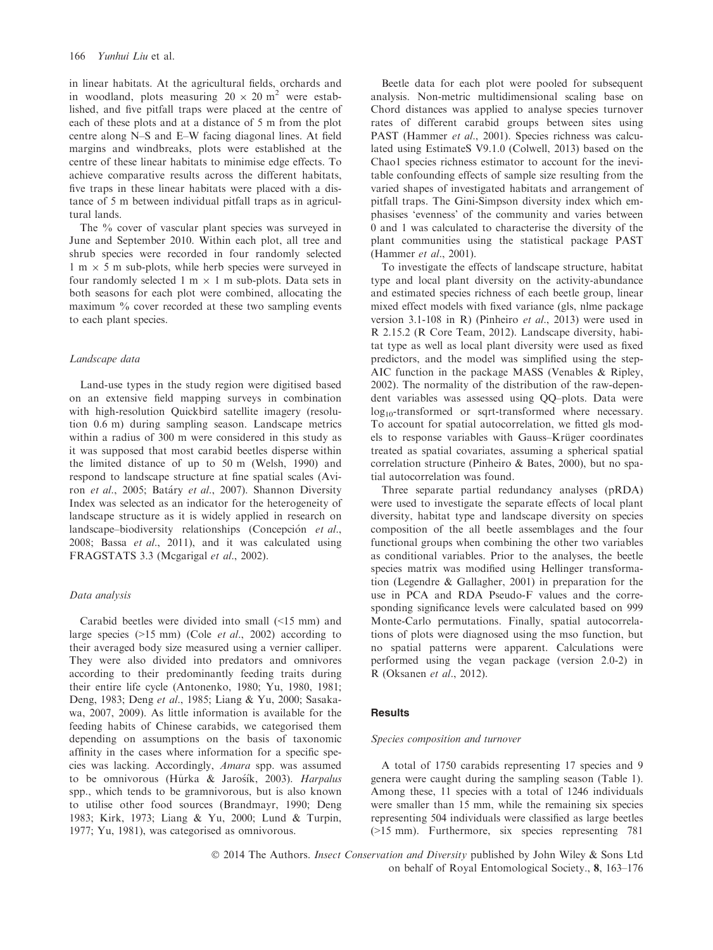in linear habitats. At the agricultural fields, orchards and in woodland, plots measuring  $20 \times 20$  m<sup>2</sup> were established, and five pitfall traps were placed at the centre of each of these plots and at a distance of 5 m from the plot centre along N–S and E–W facing diagonal lines. At field margins and windbreaks, plots were established at the centre of these linear habitats to minimise edge effects. To achieve comparative results across the different habitats, five traps in these linear habitats were placed with a distance of 5 m between individual pitfall traps as in agricultural lands.

The % cover of vascular plant species was surveyed in June and September 2010. Within each plot, all tree and shrub species were recorded in four randomly selected  $1 m \times 5 m$  sub-plots, while herb species were surveyed in four randomly selected 1 m  $\times$  1 m sub-plots. Data sets in both seasons for each plot were combined, allocating the maximum % cover recorded at these two sampling events to each plant species.

#### Landscape data

Land-use types in the study region were digitised based on an extensive field mapping surveys in combination with high-resolution Quickbird satellite imagery (resolution 0.6 m) during sampling season. Landscape metrics within a radius of 300 m were considered in this study as it was supposed that most carabid beetles disperse within the limited distance of up to 50 m (Welsh, 1990) and respond to landscape structure at fine spatial scales (Aviron et al., 2005; Batáry et al., 2007). Shannon Diversity Index was selected as an indicator for the heterogeneity of landscape structure as it is widely applied in research on landscape–biodiversity relationships (Concepción et al., 2008; Bassa et al., 2011), and it was calculated using FRAGSTATS 3.3 (Mcgarigal et al., 2002).

#### Data analysis

Carabid beetles were divided into small (<15 mm) and large species  $(>15 \text{ mm})$  (Cole *et al.*, 2002) according to their averaged body size measured using a vernier calliper. They were also divided into predators and omnivores according to their predominantly feeding traits during their entire life cycle (Antonenko, 1980; Yu, 1980, 1981; Deng, 1983; Deng et al., 1985; Liang & Yu, 2000; Sasakawa, 2007, 2009). As little information is available for the feeding habits of Chinese carabids, we categorised them depending on assumptions on the basis of taxonomic affinity in the cases where information for a specific species was lacking. Accordingly, Amara spp. was assumed to be omnivorous (Hůrka & Jarosík, 2003). Harpalus spp., which tends to be gramnivorous, but is also known to utilise other food sources (Brandmayr, 1990; Deng 1983; Kirk, 1973; Liang & Yu, 2000; Lund & Turpin, 1977; Yu, 1981), was categorised as omnivorous.

Beetle data for each plot were pooled for subsequent analysis. Non-metric multidimensional scaling base on Chord distances was applied to analyse species turnover rates of different carabid groups between sites using PAST (Hammer et al., 2001). Species richness was calculated using EstimateS V9.1.0 (Colwell, 2013) based on the Chao1 species richness estimator to account for the inevitable confounding effects of sample size resulting from the varied shapes of investigated habitats and arrangement of pitfall traps. The Gini-Simpson diversity index which emphasises 'evenness' of the community and varies between 0 and 1 was calculated to characterise the diversity of the plant communities using the statistical package PAST (Hammer et al., 2001).

To investigate the effects of landscape structure, habitat type and local plant diversity on the activity-abundance and estimated species richness of each beetle group, linear mixed effect models with fixed variance (gls, nlme package version 3.1-108 in R) (Pinheiro et al., 2013) were used in R 2.15.2 (R Core Team, 2012). Landscape diversity, habitat type as well as local plant diversity were used as fixed predictors, and the model was simplified using the step-AIC function in the package MASS (Venables & Ripley, 2002). The normality of the distribution of the raw-dependent variables was assessed using QQ–plots. Data were log<sub>10</sub>-transformed or sqrt-transformed where necessary. To account for spatial autocorrelation, we fitted gls models to response variables with Gauss-Krüger coordinates treated as spatial covariates, assuming a spherical spatial correlation structure (Pinheiro & Bates, 2000), but no spatial autocorrelation was found.

Three separate partial redundancy analyses (pRDA) were used to investigate the separate effects of local plant diversity, habitat type and landscape diversity on species composition of the all beetle assemblages and the four functional groups when combining the other two variables as conditional variables. Prior to the analyses, the beetle species matrix was modified using Hellinger transformation (Legendre & Gallagher, 2001) in preparation for the use in PCA and RDA Pseudo-F values and the corresponding significance levels were calculated based on 999 Monte-Carlo permutations. Finally, spatial autocorrelations of plots were diagnosed using the mso function, but no spatial patterns were apparent. Calculations were performed using the vegan package (version 2.0-2) in R (Oksanen et al., 2012).

## **Results**

#### Species composition and turnover

A total of 1750 carabids representing 17 species and 9 genera were caught during the sampling season (Table 1). Among these, 11 species with a total of 1246 individuals were smaller than 15 mm, while the remaining six species representing 504 individuals were classified as large beetles (>15 mm). Furthermore, six species representing 781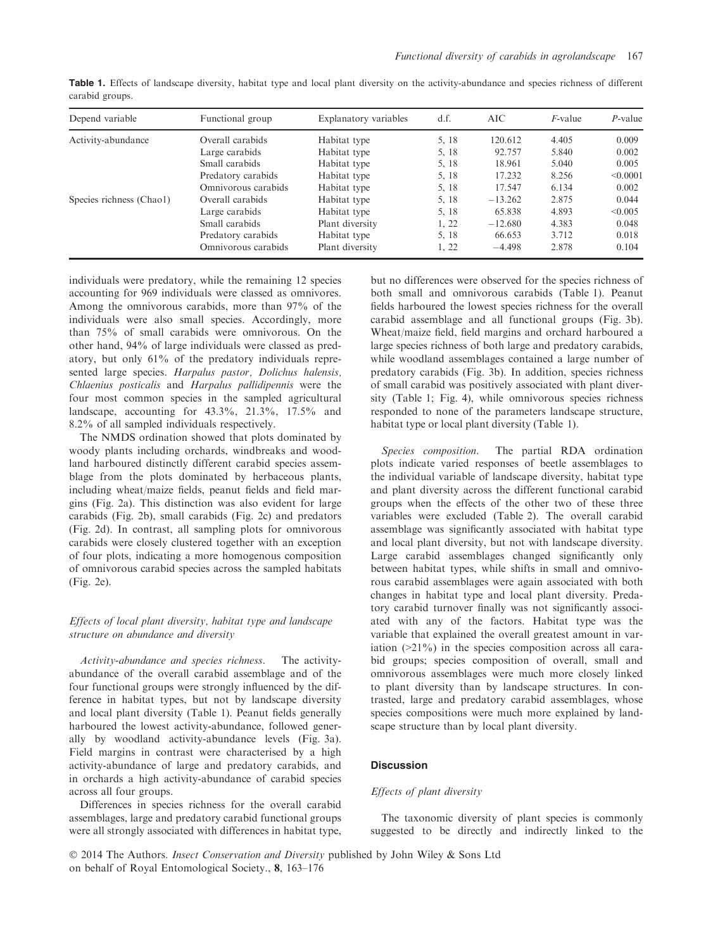|                 |  |  |  |  |  | <b>Table 1.</b> Effects of landscape diversity, habitat type and local plant diversity on the activity-abundance and species richness of different |  |  |  |
|-----------------|--|--|--|--|--|----------------------------------------------------------------------------------------------------------------------------------------------------|--|--|--|
| carabid groups. |  |  |  |  |  |                                                                                                                                                    |  |  |  |

| Depend variable          | Functional group    | Explanatory variables | d.f.  | AIC       | $F$ -value | $P$ -value |
|--------------------------|---------------------|-----------------------|-------|-----------|------------|------------|
| Activity-abundance       | Overall carabids    | Habitat type          | 5, 18 | 120.612   | 4.405      | 0.009      |
|                          | Large carabids      | Habitat type          | 5, 18 | 92.757    | 5.840      | 0.002      |
|                          | Small carabids      | Habitat type          | 5, 18 | 18.961    | 5.040      | 0.005      |
|                          | Predatory carabids  | Habitat type          | 5, 18 | 17.232    | 8.256      | < 0.0001   |
|                          | Omnivorous carabids | Habitat type          | 5, 18 | 17.547    | 6.134      | 0.002      |
| Species richness (Chao1) | Overall carabids    | Habitat type          | 5, 18 | $-13.262$ | 2.875      | 0.044      |
|                          | Large carabids      | Habitat type          | 5, 18 | 65.838    | 4.893      | < 0.005    |
|                          | Small carabids      | Plant diversity       | 1, 22 | $-12.680$ | 4.383      | 0.048      |
|                          | Predatory carabids  | Habitat type          | 5, 18 | 66.653    | 3.712      | 0.018      |
|                          | Omnivorous carabids | Plant diversity       | 1, 22 | $-4.498$  | 2.878      | 0.104      |

individuals were predatory, while the remaining 12 species accounting for 969 individuals were classed as omnivores. Among the omnivorous carabids, more than 97% of the individuals were also small species. Accordingly, more than 75% of small carabids were omnivorous. On the other hand, 94% of large individuals were classed as predatory, but only 61% of the predatory individuals represented large species. Harpalus pastor, Dolichus halensis, Chlaenius posticalis and Harpalus pallidipennis were the four most common species in the sampled agricultural landscape, accounting for 43.3%, 21.3%, 17.5% and 8.2% of all sampled individuals respectively.

The NMDS ordination showed that plots dominated by woody plants including orchards, windbreaks and woodland harboured distinctly different carabid species assemblage from the plots dominated by herbaceous plants, including wheat/maize fields, peanut fields and field margins (Fig. 2a). This distinction was also evident for large carabids (Fig. 2b), small carabids (Fig. 2c) and predators (Fig. 2d). In contrast, all sampling plots for omnivorous carabids were closely clustered together with an exception of four plots, indicating a more homogenous composition of omnivorous carabid species across the sampled habitats (Fig. 2e).

## Effects of local plant diversity, habitat type and landscape structure on abundance and diversity

Activity-abundance and species richness. The activityabundance of the overall carabid assemblage and of the four functional groups were strongly influenced by the difference in habitat types, but not by landscape diversity and local plant diversity (Table 1). Peanut fields generally harboured the lowest activity-abundance, followed generally by woodland activity-abundance levels (Fig. 3a). Field margins in contrast were characterised by a high activity-abundance of large and predatory carabids, and in orchards a high activity-abundance of carabid species across all four groups.

Differences in species richness for the overall carabid assemblages, large and predatory carabid functional groups were all strongly associated with differences in habitat type,

but no differences were observed for the species richness of both small and omnivorous carabids (Table 1). Peanut fields harboured the lowest species richness for the overall carabid assemblage and all functional groups (Fig. 3b). Wheat/maize field, field margins and orchard harboured a large species richness of both large and predatory carabids, while woodland assemblages contained a large number of predatory carabids (Fig. 3b). In addition, species richness of small carabid was positively associated with plant diversity (Table 1; Fig. 4), while omnivorous species richness responded to none of the parameters landscape structure, habitat type or local plant diversity (Table 1).

Species composition. The partial RDA ordination plots indicate varied responses of beetle assemblages to the individual variable of landscape diversity, habitat type and plant diversity across the different functional carabid groups when the effects of the other two of these three variables were excluded (Table 2). The overall carabid assemblage was significantly associated with habitat type and local plant diversity, but not with landscape diversity. Large carabid assemblages changed significantly only between habitat types, while shifts in small and omnivorous carabid assemblages were again associated with both changes in habitat type and local plant diversity. Predatory carabid turnover finally was not significantly associated with any of the factors. Habitat type was the variable that explained the overall greatest amount in variation (>21%) in the species composition across all carabid groups; species composition of overall, small and omnivorous assemblages were much more closely linked to plant diversity than by landscape structures. In contrasted, large and predatory carabid assemblages, whose species compositions were much more explained by landscape structure than by local plant diversity.

## **Discussion**

#### Effects of plant diversity

The taxonomic diversity of plant species is commonly suggested to be directly and indirectly linked to the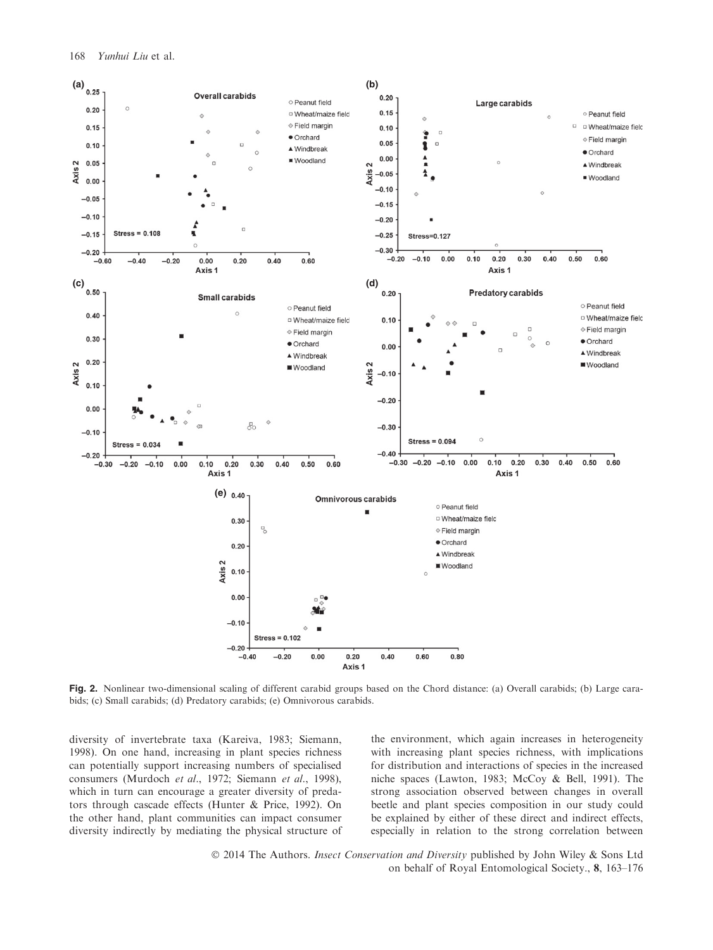

Fig. 2. Nonlinear two-dimensional scaling of different carabid groups based on the Chord distance: (a) Overall carabids; (b) Large carabids; (c) Small carabids; (d) Predatory carabids; (e) Omnivorous carabids.

diversity of invertebrate taxa (Kareiva, 1983; Siemann, 1998). On one hand, increasing in plant species richness can potentially support increasing numbers of specialised consumers (Murdoch et al., 1972; Siemann et al., 1998), which in turn can encourage a greater diversity of predators through cascade effects (Hunter & Price, 1992). On the other hand, plant communities can impact consumer diversity indirectly by mediating the physical structure of the environment, which again increases in heterogeneity with increasing plant species richness, with implications for distribution and interactions of species in the increased niche spaces (Lawton, 1983; McCoy & Bell, 1991). The strong association observed between changes in overall beetle and plant species composition in our study could be explained by either of these direct and indirect effects, especially in relation to the strong correlation between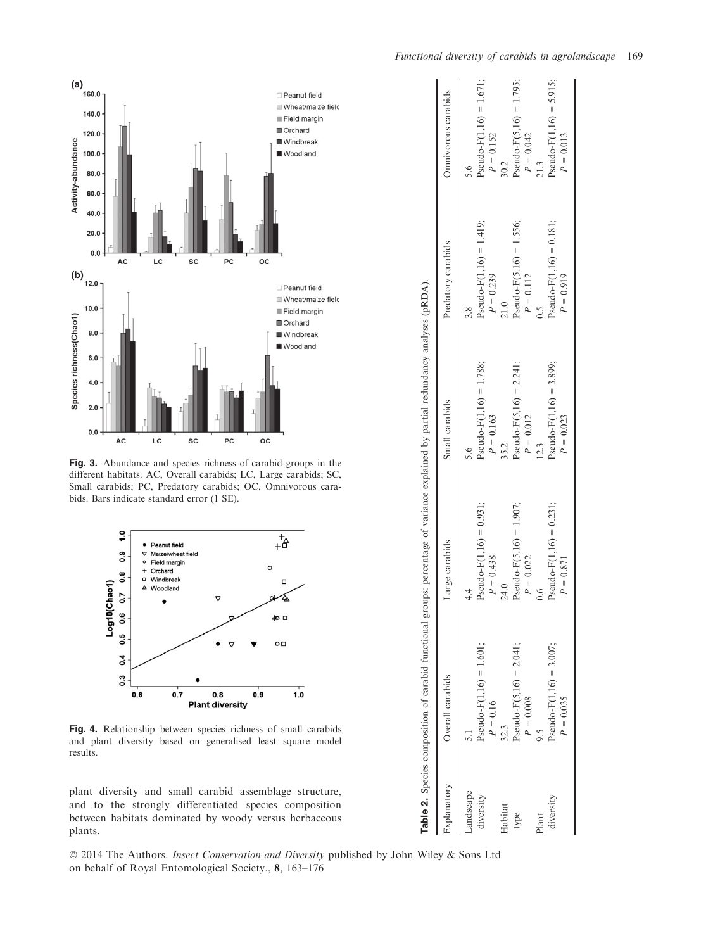

Fig. 3. Abundance and species richness of carabid groups in the different habitats. AC, Overall carabids; LC, Large carabids; SC, Small carabids; PC, Predatory carabids; OC, Omnivorous carabids. Bars indicate standard error (1 SE).



Fig. 4. Relationship between species richness of small carabids and plant diversity based on generalised least square model results.

plant diversity and small carabid assemblage structure, and to the strongly differentiated species composition between habitats dominated by woody versus herbaceous plants.

Functional diversity of carabids in agrolandscape 169

|             |                                             |                                             | <b>Table 2.</b> Species composition of carabid functional groups: percentage of variance explained by partial redundancy analyses (pRDA). |                                             |                                            |
|-------------|---------------------------------------------|---------------------------------------------|-------------------------------------------------------------------------------------------------------------------------------------------|---------------------------------------------|--------------------------------------------|
| Explanatory | Overall carabids                            | Large carabids                              | Small carabids                                                                                                                            | Predatory carabids                          | Omnivorous carabids                        |
| andscape    |                                             |                                             |                                                                                                                                           |                                             |                                            |
| diversity   | $Pseudo-F(1,16) = 1.601;$<br>$P = 0.16$     | Pseudo- $F(1,16) = 0.931$ ;<br>$P = 0.438$  | Pseudo- $F(1,16) = 1.788$ ;<br>$P = 0.163$                                                                                                | Pseudo- $F(1,16) = 1.419$ ;<br>$P = 0.239$  | Pseudo- $F(1,16) = 1.671$ ;<br>$P = 0.152$ |
| Habitat     | 32.3                                        | 24.0                                        | 35.2                                                                                                                                      | 21.0                                        | 30.2                                       |
| type        | $Pseudo-F(5,16) = 2.041;$<br>$P = 0.008$    | Pseudo- $F(5,16) = 1.907$ ;<br>$P = 0.022$  | Pseudo-F(5,16) = $2.241$ ;<br>$P = 0.012$                                                                                                 | Pseudo- $F(5, 16) = 1.556$ ;<br>$P = 0.112$ | Pseudo- $F(5,16) = 1.795$ ;<br>$P = 0.042$ |
| Plant       | $\frac{1}{2}$                               |                                             | 12.3                                                                                                                                      | $\frac{1}{2}$                               | 21.3                                       |
| diversity   | Pseudo-F $(1, 16) = 3.007$ ;<br>$P = 0.035$ | Pseudo- $F(1, 16) = 0.231$ ;<br>$P = 0.871$ | Pseudo-F $(1, 16) = 3.899$ ;<br>$P = 0.023$                                                                                               | Pseudo- $F(1,16) = 0.181$ ;<br>$P = 0.919$  | Pseudo- $F(1,16) = 5.915$ ;<br>$P = 0.013$ |
|             |                                             |                                             |                                                                                                                                           |                                             |                                            |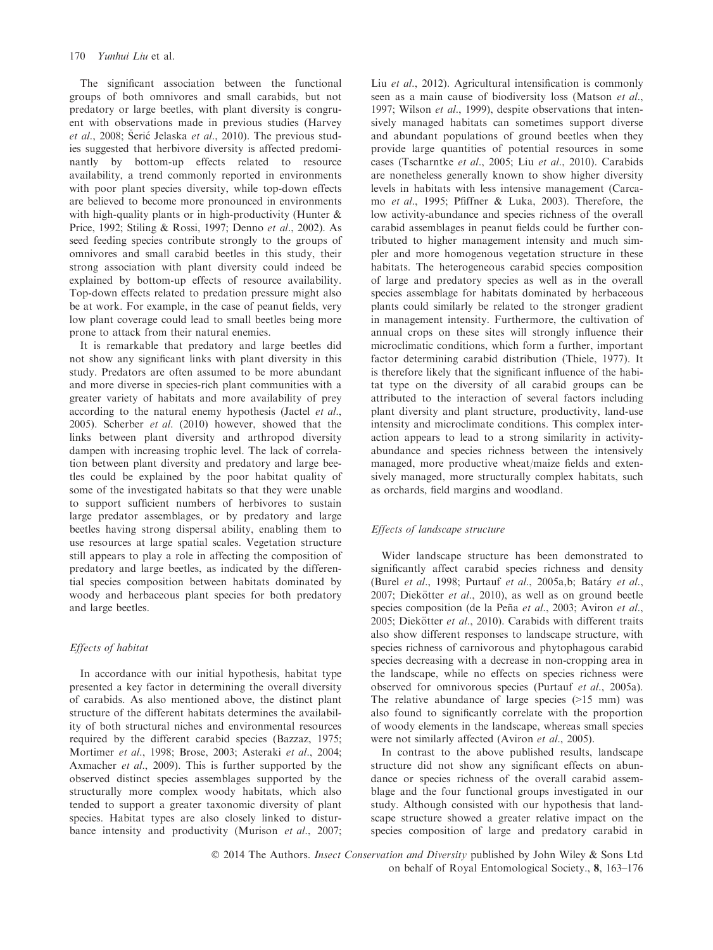The significant association between the functional groups of both omnivores and small carabids, but not predatory or large beetles, with plant diversity is congruent with observations made in previous studies (Harvey et al., 2008; Šerić Jelaska et al., 2010). The previous studies suggested that herbivore diversity is affected predominantly by bottom-up effects related to resource availability, a trend commonly reported in environments with poor plant species diversity, while top-down effects are believed to become more pronounced in environments with high-quality plants or in high-productivity (Hunter & Price, 1992; Stiling & Rossi, 1997; Denno et al., 2002). As seed feeding species contribute strongly to the groups of omnivores and small carabid beetles in this study, their strong association with plant diversity could indeed be explained by bottom-up effects of resource availability. Top-down effects related to predation pressure might also be at work. For example, in the case of peanut fields, very low plant coverage could lead to small beetles being more prone to attack from their natural enemies.

It is remarkable that predatory and large beetles did not show any significant links with plant diversity in this study. Predators are often assumed to be more abundant and more diverse in species-rich plant communities with a greater variety of habitats and more availability of prey according to the natural enemy hypothesis (Jactel et al., 2005). Scherber et al. (2010) however, showed that the links between plant diversity and arthropod diversity dampen with increasing trophic level. The lack of correlation between plant diversity and predatory and large beetles could be explained by the poor habitat quality of some of the investigated habitats so that they were unable to support sufficient numbers of herbivores to sustain large predator assemblages, or by predatory and large beetles having strong dispersal ability, enabling them to use resources at large spatial scales. Vegetation structure still appears to play a role in affecting the composition of predatory and large beetles, as indicated by the differential species composition between habitats dominated by woody and herbaceous plant species for both predatory and large beetles.

## Effects of habitat

In accordance with our initial hypothesis, habitat type presented a key factor in determining the overall diversity of carabids. As also mentioned above, the distinct plant structure of the different habitats determines the availability of both structural niches and environmental resources required by the different carabid species (Bazzaz, 1975; Mortimer et al., 1998; Brose, 2003; Asteraki et al., 2004; Axmacher et al., 2009). This is further supported by the observed distinct species assemblages supported by the structurally more complex woody habitats, which also tended to support a greater taxonomic diversity of plant species. Habitat types are also closely linked to disturbance intensity and productivity (Murison et al., 2007;

Liu et al., 2012). Agricultural intensification is commonly seen as a main cause of biodiversity loss (Matson et al., 1997; Wilson et al., 1999), despite observations that intensively managed habitats can sometimes support diverse and abundant populations of ground beetles when they provide large quantities of potential resources in some cases (Tscharntke et al., 2005; Liu et al., 2010). Carabids are nonetheless generally known to show higher diversity levels in habitats with less intensive management (Carcamo et al., 1995; Pfiffner & Luka, 2003). Therefore, the low activity-abundance and species richness of the overall carabid assemblages in peanut fields could be further contributed to higher management intensity and much simpler and more homogenous vegetation structure in these habitats. The heterogeneous carabid species composition of large and predatory species as well as in the overall species assemblage for habitats dominated by herbaceous plants could similarly be related to the stronger gradient in management intensity. Furthermore, the cultivation of annual crops on these sites will strongly influence their microclimatic conditions, which form a further, important factor determining carabid distribution (Thiele, 1977). It is therefore likely that the significant influence of the habitat type on the diversity of all carabid groups can be attributed to the interaction of several factors including plant diversity and plant structure, productivity, land-use intensity and microclimate conditions. This complex interaction appears to lead to a strong similarity in activityabundance and species richness between the intensively managed, more productive wheat/maize fields and extensively managed, more structurally complex habitats, such as orchards, field margins and woodland.

#### Effects of landscape structure

Wider landscape structure has been demonstrated to significantly affect carabid species richness and density (Burel et al., 1998; Purtauf et al., 2005a,b; Batáry et al., 2007; Diekötter  $et$  al., 2010), as well as on ground beetle species composition (de la Peña et al., 2003; Aviron et al., 2005; Diekötter et al., 2010). Carabids with different traits also show different responses to landscape structure, with species richness of carnivorous and phytophagous carabid species decreasing with a decrease in non-cropping area in the landscape, while no effects on species richness were observed for omnivorous species (Purtauf et al., 2005a). The relative abundance of large species (>15 mm) was also found to significantly correlate with the proportion of woody elements in the landscape, whereas small species were not similarly affected (Aviron et al., 2005).

In contrast to the above published results, landscape structure did not show any significant effects on abundance or species richness of the overall carabid assemblage and the four functional groups investigated in our study. Although consisted with our hypothesis that landscape structure showed a greater relative impact on the species composition of large and predatory carabid in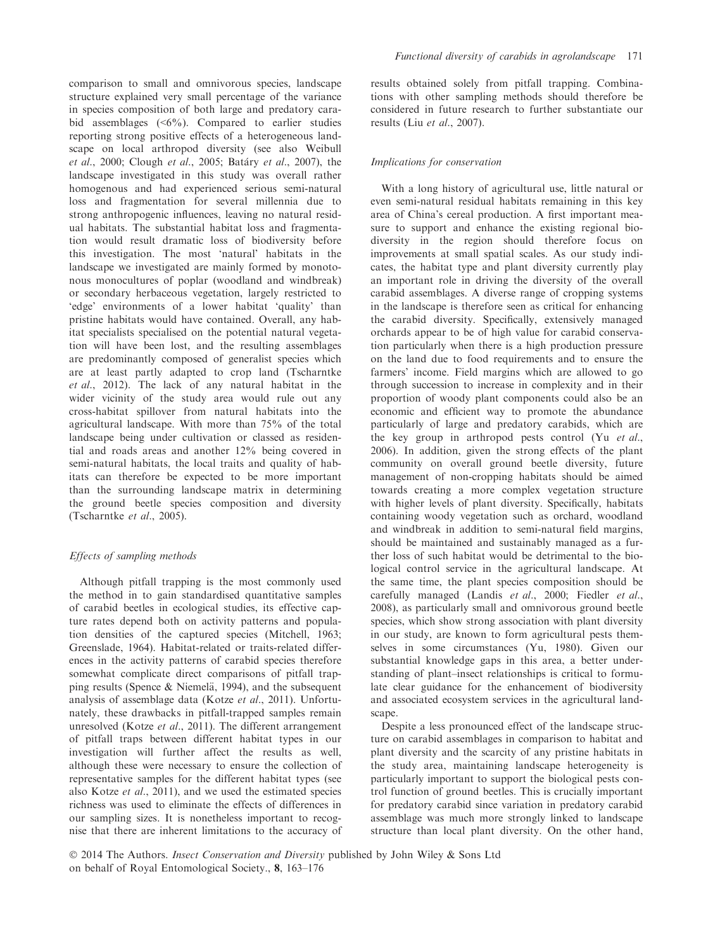comparison to small and omnivorous species, landscape structure explained very small percentage of the variance in species composition of both large and predatory carabid assemblages  $(5\%)$ . Compared to earlier studies reporting strong positive effects of a heterogeneous landscape on local arthropod diversity (see also Weibull et al., 2000; Clough et al., 2005; Batáry et al., 2007), the landscape investigated in this study was overall rather homogenous and had experienced serious semi-natural loss and fragmentation for several millennia due to strong anthropogenic influences, leaving no natural residual habitats. The substantial habitat loss and fragmentation would result dramatic loss of biodiversity before this investigation. The most 'natural' habitats in the landscape we investigated are mainly formed by monotonous monocultures of poplar (woodland and windbreak) or secondary herbaceous vegetation, largely restricted to 'edge' environments of a lower habitat 'quality' than pristine habitats would have contained. Overall, any habitat specialists specialised on the potential natural vegetation will have been lost, and the resulting assemblages are predominantly composed of generalist species which are at least partly adapted to crop land (Tscharntke et al., 2012). The lack of any natural habitat in the wider vicinity of the study area would rule out any cross-habitat spillover from natural habitats into the agricultural landscape. With more than 75% of the total landscape being under cultivation or classed as residential and roads areas and another 12% being covered in semi-natural habitats, the local traits and quality of habitats can therefore be expected to be more important than the surrounding landscape matrix in determining the ground beetle species composition and diversity (Tscharntke et al., 2005).

## Effects of sampling methods

Although pitfall trapping is the most commonly used the method in to gain standardised quantitative samples of carabid beetles in ecological studies, its effective capture rates depend both on activity patterns and population densities of the captured species (Mitchell, 1963; Greenslade, 1964). Habitat-related or traits-related differences in the activity patterns of carabid species therefore somewhat complicate direct comparisons of pitfall trapping results (Spence & Niemelä, 1994), and the subsequent analysis of assemblage data (Kotze et al., 2011). Unfortunately, these drawbacks in pitfall-trapped samples remain unresolved (Kotze et al., 2011). The different arrangement of pitfall traps between different habitat types in our investigation will further affect the results as well, although these were necessary to ensure the collection of representative samples for the different habitat types (see also Kotze et al., 2011), and we used the estimated species richness was used to eliminate the effects of differences in our sampling sizes. It is nonetheless important to recognise that there are inherent limitations to the accuracy of

results obtained solely from pitfall trapping. Combinations with other sampling methods should therefore be considered in future research to further substantiate our results (Liu et al., 2007).

## Implications for conservation

With a long history of agricultural use, little natural or even semi-natural residual habitats remaining in this key area of China's cereal production. A first important measure to support and enhance the existing regional biodiversity in the region should therefore focus on improvements at small spatial scales. As our study indicates, the habitat type and plant diversity currently play an important role in driving the diversity of the overall carabid assemblages. A diverse range of cropping systems in the landscape is therefore seen as critical for enhancing the carabid diversity. Specifically, extensively managed orchards appear to be of high value for carabid conservation particularly when there is a high production pressure on the land due to food requirements and to ensure the farmers' income. Field margins which are allowed to go through succession to increase in complexity and in their proportion of woody plant components could also be an economic and efficient way to promote the abundance particularly of large and predatory carabids, which are the key group in arthropod pests control (Yu et al., 2006). In addition, given the strong effects of the plant community on overall ground beetle diversity, future management of non-cropping habitats should be aimed towards creating a more complex vegetation structure with higher levels of plant diversity. Specifically, habitats containing woody vegetation such as orchard, woodland and windbreak in addition to semi-natural field margins, should be maintained and sustainably managed as a further loss of such habitat would be detrimental to the biological control service in the agricultural landscape. At the same time, the plant species composition should be carefully managed (Landis et al., 2000; Fiedler et al., 2008), as particularly small and omnivorous ground beetle species, which show strong association with plant diversity in our study, are known to form agricultural pests themselves in some circumstances (Yu, 1980). Given our substantial knowledge gaps in this area, a better understanding of plant–insect relationships is critical to formulate clear guidance for the enhancement of biodiversity and associated ecosystem services in the agricultural landscape.

Despite a less pronounced effect of the landscape structure on carabid assemblages in comparison to habitat and plant diversity and the scarcity of any pristine habitats in the study area, maintaining landscape heterogeneity is particularly important to support the biological pests control function of ground beetles. This is crucially important for predatory carabid since variation in predatory carabid assemblage was much more strongly linked to landscape structure than local plant diversity. On the other hand,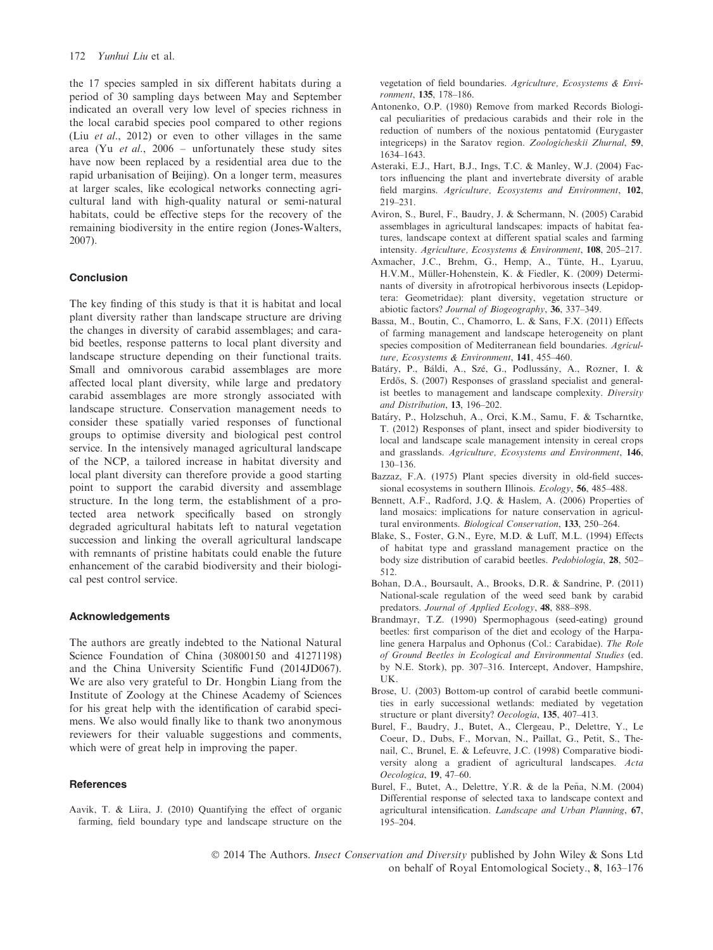the 17 species sampled in six different habitats during a period of 30 sampling days between May and September indicated an overall very low level of species richness in the local carabid species pool compared to other regions (Liu et al., 2012) or even to other villages in the same area (Yu et al.,  $2006$  – unfortunately these study sites have now been replaced by a residential area due to the rapid urbanisation of Beijing). On a longer term, measures at larger scales, like ecological networks connecting agricultural land with high-quality natural or semi-natural habitats, could be effective steps for the recovery of the remaining biodiversity in the entire region (Jones-Walters, 2007).

## **Conclusion**

The key finding of this study is that it is habitat and local plant diversity rather than landscape structure are driving the changes in diversity of carabid assemblages; and carabid beetles, response patterns to local plant diversity and landscape structure depending on their functional traits. Small and omnivorous carabid assemblages are more affected local plant diversity, while large and predatory carabid assemblages are more strongly associated with landscape structure. Conservation management needs to consider these spatially varied responses of functional groups to optimise diversity and biological pest control service. In the intensively managed agricultural landscape of the NCP, a tailored increase in habitat diversity and local plant diversity can therefore provide a good starting point to support the carabid diversity and assemblage structure. In the long term, the establishment of a protected area network specifically based on strongly degraded agricultural habitats left to natural vegetation succession and linking the overall agricultural landscape with remnants of pristine habitats could enable the future enhancement of the carabid biodiversity and their biological pest control service.

#### Acknowledgements

The authors are greatly indebted to the National Natural Science Foundation of China (30800150 and 41271198) and the China University Scientific Fund (2014JD067). We are also very grateful to Dr. Hongbin Liang from the Institute of Zoology at the Chinese Academy of Sciences for his great help with the identification of carabid specimens. We also would finally like to thank two anonymous reviewers for their valuable suggestions and comments, which were of great help in improving the paper.

#### **References**

Aavik, T. & Liira, J. (2010) Quantifying the effect of organic farming, field boundary type and landscape structure on the vegetation of field boundaries. Agriculture, Ecosystems & Environment, 135, 178–186.

- Antonenko, O.P. (1980) Remove from marked Records Biological peculiarities of predacious carabids and their role in the reduction of numbers of the noxious pentatomid (Eurygaster integriceps) in the Saratov region. Zoologicheskii Zhurnal, 59, 1634–1643.
- Asteraki, E.J., Hart, B.J., Ings, T.C. & Manley, W.J. (2004) Factors influencing the plant and invertebrate diversity of arable field margins. Agriculture, Ecosystems and Environment, 102, 219–231.
- Aviron, S., Burel, F., Baudry, J. & Schermann, N. (2005) Carabid assemblages in agricultural landscapes: impacts of habitat features, landscape context at different spatial scales and farming intensity. Agriculture, Ecosystems & Environment, 108, 205–217.
- Axmacher, J.C., Brehm, G., Hemp, A., Tünte, H., Lyaruu, H.V.M., Müller-Hohenstein, K. & Fiedler, K. (2009) Determinants of diversity in afrotropical herbivorous insects (Lepidoptera: Geometridae): plant diversity, vegetation structure or abiotic factors? Journal of Biogeography, 36, 337–349.
- Bassa, M., Boutin, C., Chamorro, L. & Sans, F.X. (2011) Effects of farming management and landscape heterogeneity on plant species composition of Mediterranean field boundaries. Agriculture, Ecosystems & Environment, 141, 455–460.
- Batáry, P., Báldi, A., Szé, G., Podlussány, A., Rozner, I. & Erdős, S. (2007) Responses of grassland specialist and generalist beetles to management and landscape complexity. Diversity and Distribution, 13, 196–202.
- Batáry, P., Holzschuh, A., Orci, K.M., Samu, F. & Tscharntke, T. (2012) Responses of plant, insect and spider biodiversity to local and landscape scale management intensity in cereal crops and grasslands. Agriculture, Ecosystems and Environment, 146, 130–136.
- Bazzaz, F.A. (1975) Plant species diversity in old-field successional ecosystems in southern Illinois. Ecology, 56, 485–488.
- Bennett, A.F., Radford, J.Q. & Haslem, A. (2006) Properties of land mosaics: implications for nature conservation in agricultural environments. Biological Conservation, 133, 250–264.
- Blake, S., Foster, G.N., Eyre, M.D. & Luff, M.L. (1994) Effects of habitat type and grassland management practice on the body size distribution of carabid beetles. Pedobiologia, 28, 502– 512.
- Bohan, D.A., Boursault, A., Brooks, D.R. & Sandrine, P. (2011) National-scale regulation of the weed seed bank by carabid predators. Journal of Applied Ecology, 48, 888–898.
- Brandmayr, T.Z. (1990) Spermophagous (seed-eating) ground beetles: first comparison of the diet and ecology of the Harpaline genera Harpalus and Ophonus (Col.: Carabidae). The Role of Ground Beetles in Ecological and Environmental Studies (ed. by N.E. Stork), pp. 307–316. Intercept, Andover, Hampshire, UK.
- Brose, U. (2003) Bottom-up control of carabid beetle communities in early successional wetlands: mediated by vegetation structure or plant diversity? Oecologia, 135, 407–413.
- Burel, F., Baudry, J., Butet, A., Clergeau, P., Delettre, Y., Le Coeur, D., Dubs, F., Morvan, N., Paillat, G., Petit, S., Thenail, C., Brunel, E. & Lefeuvre, J.C. (1998) Comparative biodiversity along a gradient of agricultural landscapes. Acta Oecologica, 19, 47–60.
- Burel, F., Butet, A., Delettre, Y.R. & de la Peña, N.M. (2004) Differential response of selected taxa to landscape context and agricultural intensification. Landscape and Urban Planning, 67, 195–204.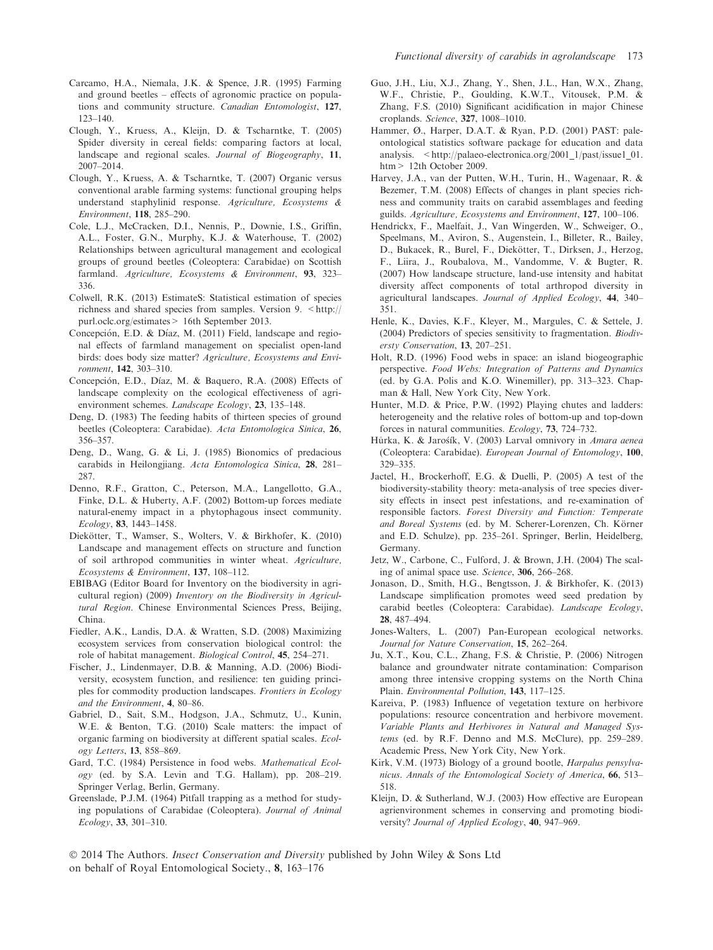- Carcamo, H.A., Niemala, J.K. & Spence, J.R. (1995) Farming and ground beetles – effects of agronomic practice on populations and community structure. Canadian Entomologist, 127, 123–140.
- Clough, Y., Kruess, A., Kleijn, D. & Tscharntke, T. (2005) Spider diversity in cereal fields: comparing factors at local, landscape and regional scales. Journal of Biogeography, 11, 2007–2014.
- Clough, Y., Kruess, A. & Tscharntke, T. (2007) Organic versus conventional arable farming systems: functional grouping helps understand staphylinid response. Agriculture, Ecosystems & Environment, 118, 285–290.
- Cole, L.J., McCracken, D.I., Nennis, P., Downie, I.S., Griffin, A.L., Foster, G.N., Murphy, K.J. & Waterhouse, T. (2002) Relationships between agricultural management and ecological groups of ground beetles (Coleoptera: Carabidae) on Scottish farmland. Agriculture, Ecosystems & Environment, 93, 323– 336.
- Colwell, R.K. (2013) EstimateS: Statistical estimation of species richness and shared species from samples. Version 9. <http:// purl.oclc.org/estimates> 16th September 2013.
- Concepción, E.D. & Díaz, M. (2011) Field, landscape and regional effects of farmland management on specialist open-land birds: does body size matter? Agriculture, Ecosystems and Environment, 142, 303–310.
- Concepción, E.D., Díaz, M. & Baquero, R.A. (2008) Effects of landscape complexity on the ecological effectiveness of agrienvironment schemes. Landscape Ecology, 23, 135–148.
- Deng, D. (1983) The feeding habits of thirteen species of ground beetles (Coleoptera: Carabidae). Acta Entomologica Sinica, 26, 356–357.
- Deng, D., Wang, G. & Li, J. (1985) Bionomics of predacious carabids in Heilongjiang. Acta Entomologica Sinica, 28, 281– 287.
- Denno, R.F., Gratton, C., Peterson, M.A., Langellotto, G.A., Finke, D.L. & Huberty, A.F. (2002) Bottom-up forces mediate natural-enemy impact in a phytophagous insect community. Ecology, 83, 1443–1458.
- Diekötter, T., Wamser, S., Wolters, V. & Birkhofer, K. (2010) Landscape and management effects on structure and function of soil arthropod communities in winter wheat. Agriculture, Ecosystems & Environment, 137, 108–112.
- EBIBAG (Editor Board for Inventory on the biodiversity in agricultural region) (2009) Inventory on the Biodiversity in Agricultural Region. Chinese Environmental Sciences Press, Beijing, China.
- Fiedler, A.K., Landis, D.A. & Wratten, S.D. (2008) Maximizing ecosystem services from conservation biological control: the role of habitat management. Biological Control, 45, 254–271.
- Fischer, J., Lindenmayer, D.B. & Manning, A.D. (2006) Biodiversity, ecosystem function, and resilience: ten guiding principles for commodity production landscapes. Frontiers in Ecology and the Environment, 4, 80–86.
- Gabriel, D., Sait, S.M., Hodgson, J.A., Schmutz, U., Kunin, W.E. & Benton, T.G. (2010) Scale matters: the impact of organic farming on biodiversity at different spatial scales. Ecology Letters, 13, 858–869.
- Gard, T.C. (1984) Persistence in food webs. Mathematical Ecology (ed. by S.A. Levin and T.G. Hallam), pp. 208–219. Springer Verlag, Berlin, Germany.
- Greenslade, P.J.M. (1964) Pitfall trapping as a method for studying populations of Carabidae (Coleoptera). Journal of Animal Ecology, 33, 301–310.
- Guo, J.H., Liu, X.J., Zhang, Y., Shen, J.L., Han, W.X., Zhang, W.F., Christie, P., Goulding, K.W.T., Vitousek, P.M. & Zhang, F.S. (2010) Significant acidification in major Chinese croplands. Science, 327, 1008–1010.
- Hammer, Ø., Harper, D.A.T. & Ryan, P.D. (2001) PAST: paleontological statistics software package for education and data analysis. <http://palaeo-electronica.org/2001\_1/past/issue1\_01. htm > 12th October 2009.
- Harvey, J.A., van der Putten, W.H., Turin, H., Wagenaar, R. & Bezemer, T.M. (2008) Effects of changes in plant species richness and community traits on carabid assemblages and feeding guilds. Agriculture, Ecosystems and Environment, 127, 100–106.
- Hendrickx, F., Maelfait, J., Van Wingerden, W., Schweiger, O., Speelmans, M., Aviron, S., Augenstein, I., Billeter, R., Bailey, D., Bukacek, R., Burel, F., Diekötter, T., Dirksen, J., Herzog, F., Liira, J., Roubalova, M., Vandomme, V. & Bugter, R. (2007) How landscape structure, land-use intensity and habitat diversity affect components of total arthropod diversity in agricultural landscapes. Journal of Applied Ecology, 44, 340– 351.
- Henle, K., Davies, K.F., Kleyer, M., Margules, C. & Settele, J. (2004) Predictors of species sensitivity to fragmentation. Biodiversty Conservation, 13, 207–251.
- Holt, R.D. (1996) Food webs in space: an island biogeographic perspective. Food Webs: Integration of Patterns and Dynamics (ed. by G.A. Polis and K.O. Winemiller), pp. 313–323. Chapman & Hall, New York City, New York.
- Hunter, M.D. & Price, P.W. (1992) Playing chutes and ladders: heterogeneity and the relative roles of bottom-up and top-down forces in natural communities. Ecology, 73, 724–732.
- Hůrka, K. & Jarośík, V. (2003) Larval omnivory in Amara aenea (Coleoptera: Carabidae). European Journal of Entomology, 100, 329–335.
- Jactel, H., Brockerhoff, E.G. & Duelli, P. (2005) A test of the biodiversity-stability theory: meta-analysis of tree species diversity effects in insect pest infestations, and re-examination of responsible factors. Forest Diversity and Function: Temperate and Boreal Systems (ed. by M. Scherer-Lorenzen, Ch. Körner and E.D. Schulze), pp. 235–261. Springer, Berlin, Heidelberg, Germany.
- Jetz, W., Carbone, C., Fulford, J. & Brown, J.H. (2004) The scaling of animal space use. Science, 306, 266–268.
- Jonason, D., Smith, H.G., Bengtsson, J. & Birkhofer, K. (2013) Landscape simplification promotes weed seed predation by carabid beetles (Coleoptera: Carabidae). Landscape Ecology, 28, 487–494.
- Jones-Walters, L. (2007) Pan-European ecological networks. Journal for Nature Conservation, 15, 262–264.
- Ju, X.T., Kou, C.L., Zhang, F.S. & Christie, P. (2006) Nitrogen balance and groundwater nitrate contamination: Comparison among three intensive cropping systems on the North China Plain. Environmental Pollution, 143, 117–125.
- Kareiva, P. (1983) Influence of vegetation texture on herbivore populations: resource concentration and herbivore movement. Variable Plants and Herbivores in Natural and Managed Systems (ed. by R.F. Denno and M.S. McClure), pp. 259-289. Academic Press, New York City, New York.
- Kirk, V.M. (1973) Biology of a ground bootle, Harpalus pensylvanicus. Annals of the Entomological Society of America, 66, 513– 518.
- Kleijn, D. & Sutherland, W.J. (2003) How effective are European agrienvironment schemes in conserving and promoting biodiversity? Journal of Applied Ecology, 40, 947–969.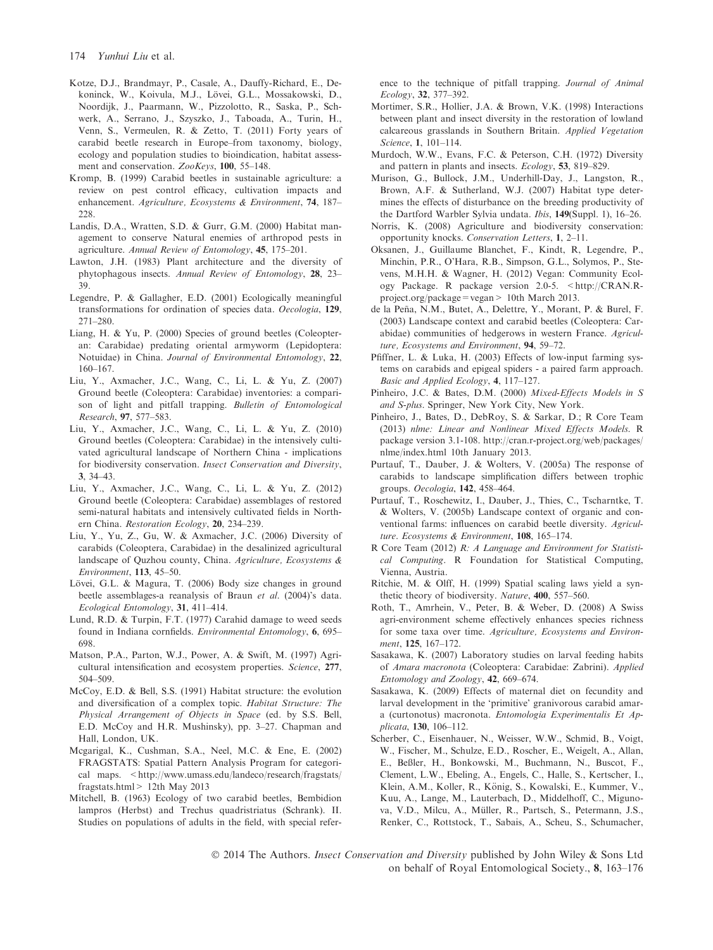- Kotze, D.J., Brandmayr, P., Casale, A., Dauffy-Richard, E., Dekoninck, W., Koivula, M.J., Lövei, G.L., Mossakowski, D., Noordijk, J., Paarmann, W., Pizzolotto, R., Saska, P., Schwerk, A., Serrano, J., Szyszko, J., Taboada, A., Turin, H., Venn, S., Vermeulen, R. & Zetto, T. (2011) Forty years of carabid beetle research in Europe–from taxonomy, biology, ecology and population studies to bioindication, habitat assessment and conservation. ZooKeys, 100, 55-148.
- Kromp, B. (1999) Carabid beetles in sustainable agriculture: a review on pest control efficacy, cultivation impacts and enhancement. Agriculture, Ecosystems & Environment, 74, 187-228
- Landis, D.A., Wratten, S.D. & Gurr, G.M. (2000) Habitat management to conserve Natural enemies of arthropod pests in agriculture. Annual Review of Entomology, 45, 175–201.
- Lawton, J.H. (1983) Plant architecture and the diversity of phytophagous insects. Annual Review of Entomology, 28, 23– 39.
- Legendre, P. & Gallagher, E.D. (2001) Ecologically meaningful transformations for ordination of species data. Oecologia, 129, 271–280.
- Liang, H. & Yu, P. (2000) Species of ground beetles (Coleopteran: Carabidae) predating oriental armyworm (Lepidoptera: Notuidae) in China. Journal of Environmental Entomology, 22, 160–167.
- Liu, Y., Axmacher, J.C., Wang, C., Li, L. & Yu, Z. (2007) Ground beetle (Coleoptera: Carabidae) inventories: a comparison of light and pitfall trapping. Bulletin of Entomological Research, 97, 577–583.
- Liu, Y., Axmacher, J.C., Wang, C., Li, L. & Yu, Z. (2010) Ground beetles (Coleoptera: Carabidae) in the intensively cultivated agricultural landscape of Northern China - implications for biodiversity conservation. Insect Conservation and Diversity, 3, 34–43.
- Liu, Y., Axmacher, J.C., Wang, C., Li, L. & Yu, Z. (2012) Ground beetle (Coleoptera: Carabidae) assemblages of restored semi-natural habitats and intensively cultivated fields in Northern China. Restoration Ecology, 20, 234-239.
- Liu, Y., Yu, Z., Gu, W. & Axmacher, J.C. (2006) Diversity of carabids (Coleoptera, Carabidae) in the desalinized agricultural landscape of Quzhou county, China. Agriculture, Ecosystems & Environment, 113, 45–50.
- Lövei, G.L. & Magura, T. (2006) Body size changes in ground beetle assemblages-a reanalysis of Braun et al. (2004)'s data. Ecological Entomology, 31, 411–414.
- Lund, R.D. & Turpin, F.T. (1977) Carahid damage to weed seeds found in Indiana cornfields. Environmental Entomology, 6, 695– 698.
- Matson, P.A., Parton, W.J., Power, A. & Swift, M. (1997) Agricultural intensification and ecosystem properties. Science, 277, 504–509.
- McCoy, E.D. & Bell, S.S. (1991) Habitat structure: the evolution and diversification of a complex topic. Habitat Structure: The Physical Arrangement of Objects in Space (ed. by S.S. Bell, E.D. McCoy and H.R. Mushinsky), pp. 3–27. Chapman and Hall, London, UK.
- Mcgarigal, K., Cushman, S.A., Neel, M.C. & Ene, E. (2002) FRAGSTATS: Spatial Pattern Analysis Program for categorical maps. <http://www.umass.edu/landeco/research/fragstats/ fragstats.html> 12th May 2013
- Mitchell, B. (1963) Ecology of two carabid beetles, Bembidion lampros (Herbst) and Trechus quadristriatus (Schrank). II. Studies on populations of adults in the field, with special refer-

ence to the technique of pitfall trapping. Journal of Animal Ecology, 32, 377–392.

- Mortimer, S.R., Hollier, J.A. & Brown, V.K. (1998) Interactions between plant and insect diversity in the restoration of lowland calcareous grasslands in Southern Britain. Applied Vegetation Science, 1, 101–114.
- Murdoch, W.W., Evans, F.C. & Peterson, C.H. (1972) Diversity and pattern in plants and insects. Ecology, 53, 819–829.
- Murison, G., Bullock, J.M., Underhill-Day, J., Langston, R., Brown, A.F. & Sutherland, W.J. (2007) Habitat type determines the effects of disturbance on the breeding productivity of the Dartford Warbler Sylvia undata. Ibis, 149(Suppl. 1), 16–26.
- Norris, K. (2008) Agriculture and biodiversity conservation: opportunity knocks. Conservation Letters, 1, 2–11.
- Oksanen, J., Guillaume Blanchet, F., Kindt, R, Legendre, P., Minchin, P.R., O'Hara, R.B., Simpson, G.L., Solymos, P., Stevens, M.H.H. & Wagner, H. (2012) Vegan: Community Ecology Package. R package version 2.0-5. <http://CRAN.Rproject.org/package=vegan> 10th March 2013.
- de la Peña, N.M., Butet, A., Delettre, Y., Morant, P. & Burel, F. (2003) Landscape context and carabid beetles (Coleoptera: Carabidae) communities of hedgerows in western France. Agriculture, Ecosystems and Environment, 94, 59–72.
- Pfiffner, L. & Luka, H. (2003) Effects of low-input farming systems on carabids and epigeal spiders - a paired farm approach. Basic and Applied Ecology, 4, 117–127.
- Pinheiro, J.C. & Bates, D.M. (2000) Mixed-Effects Models in S and S-plus. Springer, New York City, New York.
- Pinheiro, J., Bates, D., DebRoy, S. & Sarkar, D.; R Core Team (2013) nlme: Linear and Nonlinear Mixed Effects Models. R package version 3.1-108. http://cran.r-project.org/web/packages/ nlme/index.html 10th January 2013.
- Purtauf, T., Dauber, J. & Wolters, V. (2005a) The response of carabids to landscape simplification differs between trophic groups. Oecologia, 142, 458–464.
- Purtauf, T., Roschewitz, I., Dauber, J., Thies, C., Tscharntke, T. & Wolters, V. (2005b) Landscape context of organic and conventional farms: influences on carabid beetle diversity. Agriculture. Ecosystems & Environment, 108, 165-174.
- R Core Team (2012) R: A Language and Environment for Statistical Computing. R Foundation for Statistical Computing, Vienna, Austria.
- Ritchie, M. & Olff, H. (1999) Spatial scaling laws yield a synthetic theory of biodiversity. Nature, 400, 557–560.
- Roth, T., Amrhein, V., Peter, B. & Weber, D. (2008) A Swiss agri-environment scheme effectively enhances species richness for some taxa over time. Agriculture, Ecosystems and Environment, 125, 167–172.
- Sasakawa, K. (2007) Laboratory studies on larval feeding habits of Amara macronota (Coleoptera: Carabidae: Zabrini). Applied Entomology and Zoology, 42, 669–674.
- Sasakawa, K. (2009) Effects of maternal diet on fecundity and larval development in the 'primitive' granivorous carabid amara (curtonotus) macronota. Entomologia Experimentalis Et Applicata, 130, 106–112.
- Scherber, C., Eisenhauer, N., Weisser, W.W., Schmid, B., Voigt, W., Fischer, M., Schulze, E.D., Roscher, E., Weigelt, A., Allan, E., Beßler, H., Bonkowski, M., Buchmann, N., Buscot, F., Clement, L.W., Ebeling, A., Engels, C., Halle, S., Kertscher, I., Klein, A.M., Koller, R., König, S., Kowalski, E., Kummer, V., Kuu, A., Lange, M., Lauterbach, D., Middelhoff, C., Migunova, V.D., Milcu, A., Müller, R., Partsch, S., Petermann, J.S., Renker, C., Rottstock, T., Sabais, A., Scheu, S., Schumacher,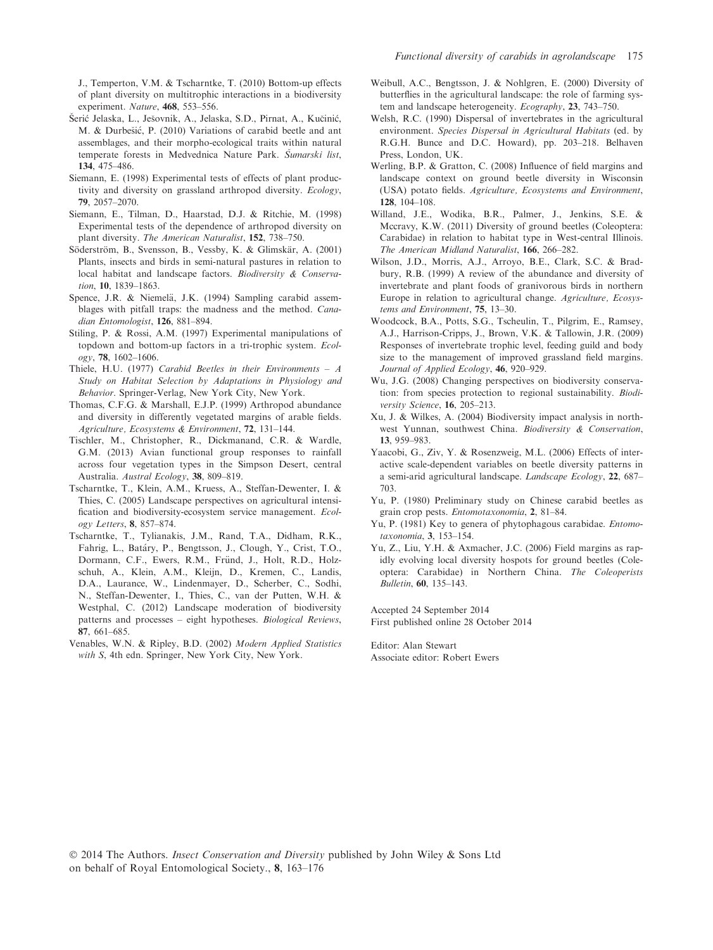J., Temperton, V.M. & Tscharntke, T. (2010) Bottom-up effects of plant diversity on multitrophic interactions in a biodiversity experiment. Nature, 468, 553–556.

- Šerić Jelaska, L., Ješovnik, A., Jelaska, S.D., Pirnat, A., Kučinić, M. & Durbešić, P. (2010) Variations of carabid beetle and ant assemblages, and their morpho-ecological traits within natural temperate forests in Medvednica Nature Park. Šumarski list, 134, 475–486.
- Siemann, E. (1998) Experimental tests of effects of plant productivity and diversity on grassland arthropod diversity. Ecology, 79, 2057–2070.
- Siemann, E., Tilman, D., Haarstad, D.J. & Ritchie, M. (1998) Experimental tests of the dependence of arthropod diversity on plant diversity. The American Naturalist, 152, 738–750.
- Söderström, B., Svensson, B., Vessby, K. & Glimskär, A. (2001) Plants, insects and birds in semi-natural pastures in relation to local habitat and landscape factors. Biodiversity & Conservation, 10, 1839–1863.
- Spence, J.R. & Niemelä, J.K. (1994) Sampling carabid assemblages with pitfall traps: the madness and the method. Canadian Entomologist, 126, 881–894.
- Stiling, P. & Rossi, A.M. (1997) Experimental manipulations of topdown and bottom-up factors in a tri-trophic system. Ecology, 78, 1602–1606.
- Thiele, H.U. (1977) Carabid Beetles in their Environments  $A$ Study on Habitat Selection by Adaptations in Physiology and Behavior. Springer-Verlag, New York City, New York.
- Thomas, C.F.G. & Marshall, E.J.P. (1999) Arthropod abundance and diversity in differently vegetated margins of arable fields. Agriculture, Ecosystems & Environment, 72, 131–144.
- Tischler, M., Christopher, R., Dickmanand, C.R. & Wardle, G.M. (2013) Avian functional group responses to rainfall across four vegetation types in the Simpson Desert, central Australia. Austral Ecology, 38, 809–819.
- Tscharntke, T., Klein, A.M., Kruess, A., Steffan-Dewenter, I. & Thies, C. (2005) Landscape perspectives on agricultural intensification and biodiversity-ecosystem service management. Ecology Letters, 8, 857–874.
- Tscharntke, T., Tylianakis, J.M., Rand, T.A., Didham, R.K., Fahrig, L., Batáry, P., Bengtsson, J., Clough, Y., Crist, T.O., Dormann, C.F., Ewers, R.M., Fründ, J., Holt, R.D., Holzschuh, A., Klein, A.M., Kleijn, D., Kremen, C., Landis, D.A., Laurance, W., Lindenmayer, D., Scherber, C., Sodhi, N., Steffan-Dewenter, I., Thies, C., van der Putten, W.H. & Westphal, C. (2012) Landscape moderation of biodiversity patterns and processes – eight hypotheses. Biological Reviews, 87, 661–685.
- Venables, W.N. & Ripley, B.D. (2002) Modern Applied Statistics with S, 4th edn. Springer, New York City, New York.
- Weibull, A.C., Bengtsson, J. & Nohlgren, E. (2000) Diversity of butterflies in the agricultural landscape: the role of farming system and landscape heterogeneity. Ecography, 23, 743–750.
- Welsh, R.C. (1990) Dispersal of invertebrates in the agricultural environment. Species Dispersal in Agricultural Habitats (ed. by R.G.H. Bunce and D.C. Howard), pp. 203–218. Belhaven Press, London, UK.
- Werling, B.P. & Gratton, C. (2008) Influence of field margins and landscape context on ground beetle diversity in Wisconsin (USA) potato fields. Agriculture, Ecosystems and Environment, 128, 104–108.
- Willand, J.E., Wodika, B.R., Palmer, J., Jenkins, S.E. & Mccravy, K.W. (2011) Diversity of ground beetles (Coleoptera: Carabidae) in relation to habitat type in West-central Illinois. The American Midland Naturalist, 166, 266–282.
- Wilson, J.D., Morris, A.J., Arroyo, B.E., Clark, S.C. & Bradbury, R.B. (1999) A review of the abundance and diversity of invertebrate and plant foods of granivorous birds in northern Europe in relation to agricultural change. Agriculture, Ecosystems and Environment, 75, 13–30.
- Woodcock, B.A., Potts, S.G., Tscheulin, T., Pilgrim, E., Ramsey, A.J., Harrison-Cripps, J., Brown, V.K. & Tallowin, J.R. (2009) Responses of invertebrate trophic level, feeding guild and body size to the management of improved grassland field margins. Journal of Applied Ecology, 46, 920–929.
- Wu, J.G. (2008) Changing perspectives on biodiversity conservation: from species protection to regional sustainability. Biodiversity Science, 16, 205–213.
- Xu, J. & Wilkes, A. (2004) Biodiversity impact analysis in northwest Yunnan, southwest China. Biodiversity & Conservation, 13, 959–983.
- Yaacobi, G., Ziv, Y. & Rosenzweig, M.L. (2006) Effects of interactive scale-dependent variables on beetle diversity patterns in a semi-arid agricultural landscape. Landscape Ecology, 22, 687– 703.
- Yu, P. (1980) Preliminary study on Chinese carabid beetles as grain crop pests. Entomotaxonomia, 2, 81–84.
- Yu, P. (1981) Key to genera of phytophagous carabidae. Entomotaxonomia, 3, 153–154.
- Yu, Z., Liu, Y.H. & Axmacher, J.C. (2006) Field margins as rapidly evolving local diversity hospots for ground beetles (Coleoptera: Carabidae) in Northern China. The Coleoperists Bulletin, 60, 135–143.

Accepted 24 September 2014 First published online 28 October 2014

Editor: Alan Stewart Associate editor: Robert Ewers